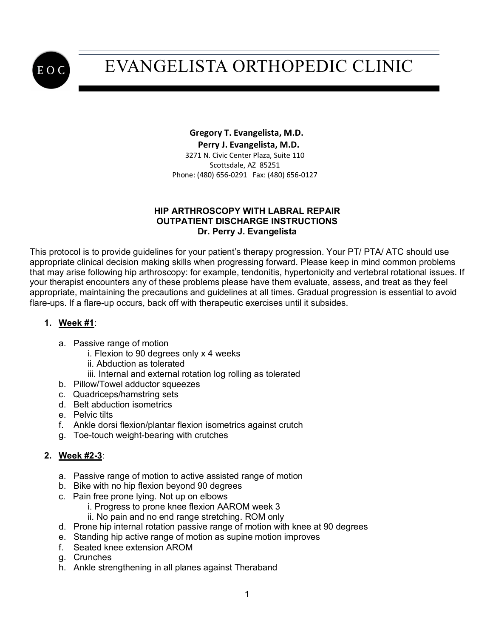

#### **Gregory T. Evangelista, M.D. Perry J. Evangelista, M.D.** 3271 N. Civic Center Plaza, Suite 110 Scottsdale, AZ 85251 Phone: (480) 656-0291 Fax: (480) 656-0127

#### **HIP ARTHROSCOPY WITH LABRAL REPAIR OUTPATIENT DISCHARGE INSTRUCTIONS Dr. Perry J. Evangelista**

This protocol is to provide guidelines for your patient's therapy progression. Your PT/ PTA/ ATC should use appropriate clinical decision making skills when progressing forward. Please keep in mind common problems that may arise following hip arthroscopy: for example, tendonitis, hypertonicity and vertebral rotational issues. If your therapist encounters any of these problems please have them evaluate, assess, and treat as they feel appropriate, maintaining the precautions and guidelines at all times. Gradual progression is essential to avoid flare-ups. If a flare-up occurs, back off with therapeutic exercises until it subsides.

### **1. Week #1**:

- a. Passive range of motion
	- i. Flexion to 90 degrees only x 4 weeks
	- ii. Abduction as tolerated
	- iii. Internal and external rotation log rolling as tolerated
- b. Pillow/Towel adductor squeezes
- c. Quadriceps/hamstring sets
- d. Belt abduction isometrics
- e. Pelvic tilts
- f. Ankle dorsi flexion/plantar flexion isometrics against crutch
- g. Toe-touch weight-bearing with crutches

### **2. Week #2-3**:

- a. Passive range of motion to active assisted range of motion
- b. Bike with no hip flexion beyond 90 degrees
- c. Pain free prone lying. Not up on elbows
	- i. Progress to prone knee flexion AAROM week 3
		- ii. No pain and no end range stretching. ROM only
- d. Prone hip internal rotation passive range of motion with knee at 90 degrees
- e. Standing hip active range of motion as supine motion improves
- f. Seated knee extension AROM
- g. Crunches
- h. Ankle strengthening in all planes against Theraband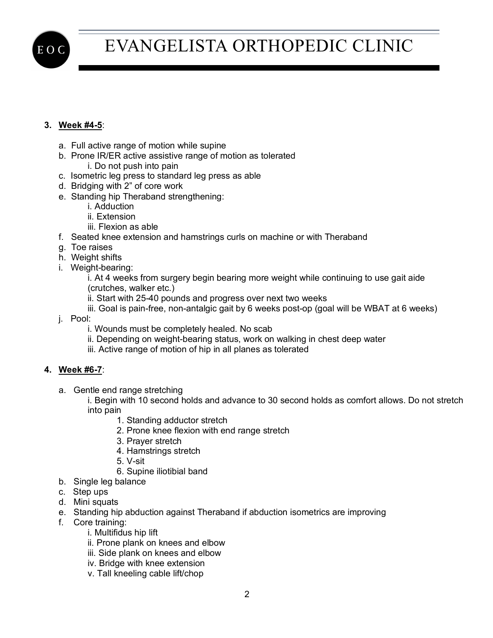

## **3. Week #4-5**:

- a. Full active range of motion while supine
- b. Prone IR/ER active assistive range of motion as tolerated
	- i. Do not push into pain
- c. Isometric leg press to standard leg press as able
- d. Bridging with 2" of core work
- e. Standing hip Theraband strengthening:
	- i. Adduction
	- ii. Extension
	- iii. Flexion as able
- f. Seated knee extension and hamstrings curls on machine or with Theraband
- g. Toe raises
- h. Weight shifts
- i. Weight-bearing:

i. At 4 weeks from surgery begin bearing more weight while continuing to use gait aide (crutches, walker etc.)

- ii. Start with 25-40 pounds and progress over next two weeks
- iii. Goal is pain-free, non-antalgic gait by 6 weeks post-op (goal will be WBAT at 6 weeks)
- j. Pool:
	- i. Wounds must be completely healed. No scab
	- ii. Depending on weight-bearing status, work on walking in chest deep water
	- iii. Active range of motion of hip in all planes as tolerated

#### **4. Week #6-7**:

a. Gentle end range stretching

i. Begin with 10 second holds and advance to 30 second holds as comfort allows. Do not stretch into pain

- 1. Standing adductor stretch
- 2. Prone knee flexion with end range stretch
- 3. Prayer stretch
- 4. Hamstrings stretch
- 5. V-sit
- 6. Supine iliotibial band
- b. Single leg balance
- c. Step ups
- d. Mini squats
- e. Standing hip abduction against Theraband if abduction isometrics are improving
- f. Core training:
	- i. Multifidus hip lift
	- ii. Prone plank on knees and elbow
	- iii. Side plank on knees and elbow
	- iv. Bridge with knee extension
	- v. Tall kneeling cable lift/chop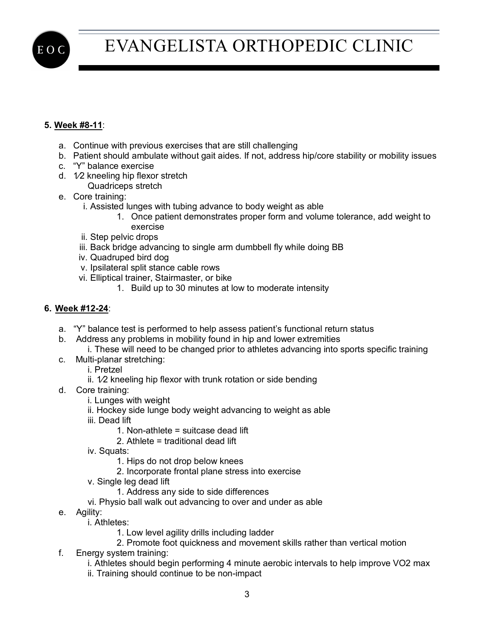

## **5. Week #8-11**:

- a. Continue with previous exercises that are still challenging
- b. Patient should ambulate without gait aides. If not, address hip/core stability or mobility issues
- c. "Y" balance exercise
- d. 1⁄2 kneeling hip flexor stretch
	- Quadriceps stretch
- e. Core training:
	- i. Assisted lunges with tubing advance to body weight as able
		- 1. Once patient demonstrates proper form and volume tolerance, add weight to exercise
	- ii. Step pelvic drops
	- iii. Back bridge advancing to single arm dumbbell fly while doing BB
	- iv. Quadruped bird dog
	- v. Ipsilateral split stance cable rows
	- vi. Elliptical trainer, Stairmaster, or bike
		- 1. Build up to 30 minutes at low to moderate intensity

#### **6. Week #12-24**:

- a. "Y" balance test is performed to help assess patient's functional return status
- b. Address any problems in mobility found in hip and lower extremities
	- i. These will need to be changed prior to athletes advancing into sports specific training
- c. Multi-planar stretching:
	- i. Pretzel
	- ii. 1⁄2 kneeling hip flexor with trunk rotation or side bending
- d. Core training:
	- i. Lunges with weight
	- ii. Hockey side lunge body weight advancing to weight as able
	- iii. Dead lift
		- 1. Non-athlete = suitcase dead lift
		- 2. Athlete = traditional dead lift
	- iv. Squats:
		- 1. Hips do not drop below knees
		- 2. Incorporate frontal plane stress into exercise
	- v. Single leg dead lift
		- 1. Address any side to side differences
	- vi. Physio ball walk out advancing to over and under as able
- e. Agility:
	- i. Athletes:
		- 1. Low level agility drills including ladder
		- 2. Promote foot quickness and movement skills rather than vertical motion
- f. Energy system training:
	- i. Athletes should begin performing 4 minute aerobic intervals to help improve VO2 max
	- ii. Training should continue to be non-impact